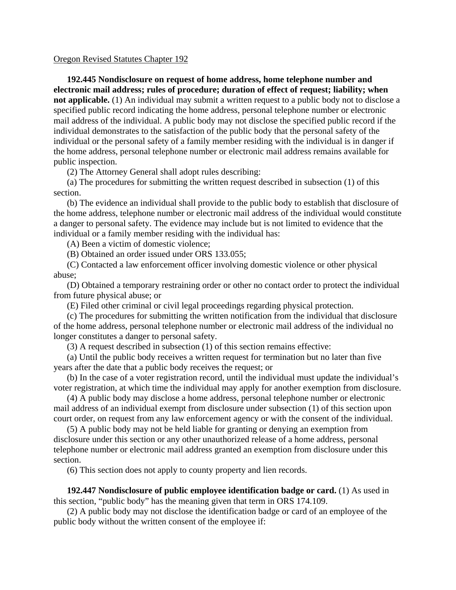### Oregon Revised Statutes Chapter 192

 **192.445 Nondisclosure on request of home address, home telephone number and electronic mail address; rules of procedure; duration of effect of request; liability; when not applicable.** (1) An individual may submit a written request to a public body not to disclose a specified public record indicating the home address, personal telephone number or electronic mail address of the individual. A public body may not disclose the specified public record if the individual demonstrates to the satisfaction of the public body that the personal safety of the individual or the personal safety of a family member residing with the individual is in danger if the home address, personal telephone number or electronic mail address remains available for public inspection.

(2) The Attorney General shall adopt rules describing:

 (a) The procedures for submitting the written request described in subsection (1) of this section.

 (b) The evidence an individual shall provide to the public body to establish that disclosure of the home address, telephone number or electronic mail address of the individual would constitute a danger to personal safety. The evidence may include but is not limited to evidence that the individual or a family member residing with the individual has:

(A) Been a victim of domestic violence;

(B) Obtained an order issued under ORS 133.055;

 (C) Contacted a law enforcement officer involving domestic violence or other physical abuse;

 (D) Obtained a temporary restraining order or other no contact order to protect the individual from future physical abuse; or

(E) Filed other criminal or civil legal proceedings regarding physical protection.

 (c) The procedures for submitting the written notification from the individual that disclosure of the home address, personal telephone number or electronic mail address of the individual no longer constitutes a danger to personal safety.

(3) A request described in subsection (1) of this section remains effective:

 (a) Until the public body receives a written request for termination but no later than five years after the date that a public body receives the request; or

 (b) In the case of a voter registration record, until the individual must update the individual's voter registration, at which time the individual may apply for another exemption from disclosure.

 (4) A public body may disclose a home address, personal telephone number or electronic mail address of an individual exempt from disclosure under subsection (1) of this section upon court order, on request from any law enforcement agency or with the consent of the individual.

 (5) A public body may not be held liable for granting or denying an exemption from disclosure under this section or any other unauthorized release of a home address, personal telephone number or electronic mail address granted an exemption from disclosure under this section.

(6) This section does not apply to county property and lien records.

### **192.447 Nondisclosure of public employee identification badge or card.** (1) As used in this section, "public body" has the meaning given that term in ORS 174.109.

 (2) A public body may not disclose the identification badge or card of an employee of the public body without the written consent of the employee if: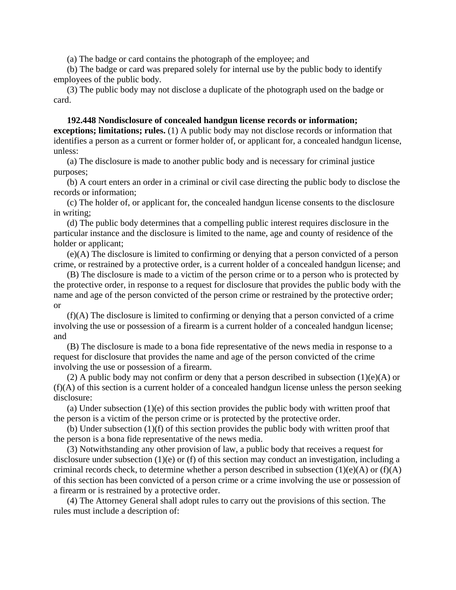(a) The badge or card contains the photograph of the employee; and

 (b) The badge or card was prepared solely for internal use by the public body to identify employees of the public body.

 (3) The public body may not disclose a duplicate of the photograph used on the badge or card.

 **192.448 Nondisclosure of concealed handgun license records or information; exceptions; limitations; rules.** (1) A public body may not disclose records or information that identifies a person as a current or former holder of, or applicant for, a concealed handgun license, unless:

 (a) The disclosure is made to another public body and is necessary for criminal justice purposes;

 (b) A court enters an order in a criminal or civil case directing the public body to disclose the records or information;

 (c) The holder of, or applicant for, the concealed handgun license consents to the disclosure in writing;

 (d) The public body determines that a compelling public interest requires disclosure in the particular instance and the disclosure is limited to the name, age and county of residence of the holder or applicant;

 (e)(A) The disclosure is limited to confirming or denying that a person convicted of a person crime, or restrained by a protective order, is a current holder of a concealed handgun license; and

 (B) The disclosure is made to a victim of the person crime or to a person who is protected by the protective order, in response to a request for disclosure that provides the public body with the name and age of the person convicted of the person crime or restrained by the protective order; or

 (f)(A) The disclosure is limited to confirming or denying that a person convicted of a crime involving the use or possession of a firearm is a current holder of a concealed handgun license; and

 (B) The disclosure is made to a bona fide representative of the news media in response to a request for disclosure that provides the name and age of the person convicted of the crime involving the use or possession of a firearm.

(2) A public body may not confirm or deny that a person described in subsection  $(1)(e)(A)$  or  $(f)(A)$  of this section is a current holder of a concealed handgun license unless the person seeking disclosure:

 (a) Under subsection (1)(e) of this section provides the public body with written proof that the person is a victim of the person crime or is protected by the protective order.

 (b) Under subsection (1)(f) of this section provides the public body with written proof that the person is a bona fide representative of the news media.

 (3) Notwithstanding any other provision of law, a public body that receives a request for disclosure under subsection (1)(e) or (f) of this section may conduct an investigation, including a criminal records check, to determine whether a person described in subsection  $(1)(e)(A)$  or  $(f)(A)$ of this section has been convicted of a person crime or a crime involving the use or possession of a firearm or is restrained by a protective order.

 (4) The Attorney General shall adopt rules to carry out the provisions of this section. The rules must include a description of: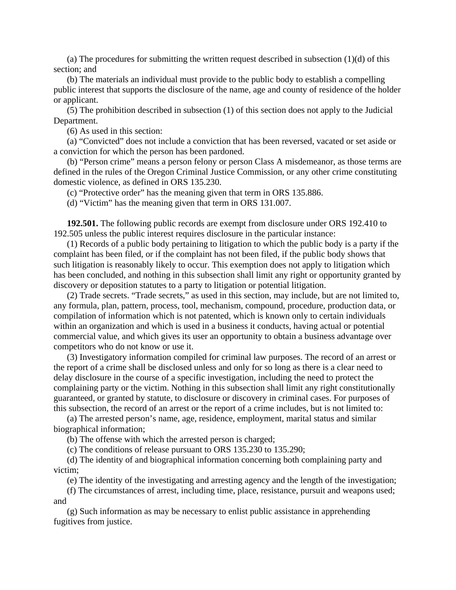(a) The procedures for submitting the written request described in subsection  $(1)(d)$  of this section; and

 (b) The materials an individual must provide to the public body to establish a compelling public interest that supports the disclosure of the name, age and county of residence of the holder or applicant.

 (5) The prohibition described in subsection (1) of this section does not apply to the Judicial Department.

(6) As used in this section:

 (a) "Convicted" does not include a conviction that has been reversed, vacated or set aside or a conviction for which the person has been pardoned.

 (b) "Person crime" means a person felony or person Class A misdemeanor, as those terms are defined in the rules of the Oregon Criminal Justice Commission, or any other crime constituting domestic violence, as defined in ORS 135.230.

(c) "Protective order" has the meaning given that term in ORS 135.886.

(d) "Victim" has the meaning given that term in ORS 131.007.

 **192.501.** The following public records are exempt from disclosure under ORS 192.410 to 192.505 unless the public interest requires disclosure in the particular instance:

 (1) Records of a public body pertaining to litigation to which the public body is a party if the complaint has been filed, or if the complaint has not been filed, if the public body shows that such litigation is reasonably likely to occur. This exemption does not apply to litigation which has been concluded, and nothing in this subsection shall limit any right or opportunity granted by discovery or deposition statutes to a party to litigation or potential litigation.

 (2) Trade secrets. "Trade secrets," as used in this section, may include, but are not limited to, any formula, plan, pattern, process, tool, mechanism, compound, procedure, production data, or compilation of information which is not patented, which is known only to certain individuals within an organization and which is used in a business it conducts, having actual or potential commercial value, and which gives its user an opportunity to obtain a business advantage over competitors who do not know or use it.

 (3) Investigatory information compiled for criminal law purposes. The record of an arrest or the report of a crime shall be disclosed unless and only for so long as there is a clear need to delay disclosure in the course of a specific investigation, including the need to protect the complaining party or the victim. Nothing in this subsection shall limit any right constitutionally guaranteed, or granted by statute, to disclosure or discovery in criminal cases. For purposes of this subsection, the record of an arrest or the report of a crime includes, but is not limited to:

 (a) The arrested person's name, age, residence, employment, marital status and similar biographical information;

(b) The offense with which the arrested person is charged;

(c) The conditions of release pursuant to ORS 135.230 to 135.290;

 (d) The identity of and biographical information concerning both complaining party and victim;

(e) The identity of the investigating and arresting agency and the length of the investigation;

 (f) The circumstances of arrest, including time, place, resistance, pursuit and weapons used; and

 (g) Such information as may be necessary to enlist public assistance in apprehending fugitives from justice.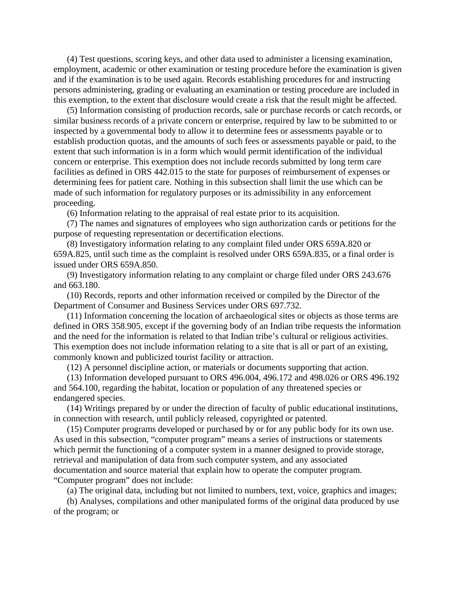(4) Test questions, scoring keys, and other data used to administer a licensing examination, employment, academic or other examination or testing procedure before the examination is given and if the examination is to be used again. Records establishing procedures for and instructing persons administering, grading or evaluating an examination or testing procedure are included in this exemption, to the extent that disclosure would create a risk that the result might be affected.

 (5) Information consisting of production records, sale or purchase records or catch records, or similar business records of a private concern or enterprise, required by law to be submitted to or inspected by a governmental body to allow it to determine fees or assessments payable or to establish production quotas, and the amounts of such fees or assessments payable or paid, to the extent that such information is in a form which would permit identification of the individual concern or enterprise. This exemption does not include records submitted by long term care facilities as defined in ORS 442.015 to the state for purposes of reimbursement of expenses or determining fees for patient care. Nothing in this subsection shall limit the use which can be made of such information for regulatory purposes or its admissibility in any enforcement proceeding.

(6) Information relating to the appraisal of real estate prior to its acquisition.

 (7) The names and signatures of employees who sign authorization cards or petitions for the purpose of requesting representation or decertification elections.

 (8) Investigatory information relating to any complaint filed under ORS 659A.820 or 659A.825, until such time as the complaint is resolved under ORS 659A.835, or a final order is issued under ORS 659A.850.

 (9) Investigatory information relating to any complaint or charge filed under ORS 243.676 and 663.180.

 (10) Records, reports and other information received or compiled by the Director of the Department of Consumer and Business Services under ORS 697.732.

 (11) Information concerning the location of archaeological sites or objects as those terms are defined in ORS 358.905, except if the governing body of an Indian tribe requests the information and the need for the information is related to that Indian tribe's cultural or religious activities. This exemption does not include information relating to a site that is all or part of an existing, commonly known and publicized tourist facility or attraction.

(12) A personnel discipline action, or materials or documents supporting that action.

 (13) Information developed pursuant to ORS 496.004, 496.172 and 498.026 or ORS 496.192 and 564.100, regarding the habitat, location or population of any threatened species or endangered species.

 (14) Writings prepared by or under the direction of faculty of public educational institutions, in connection with research, until publicly released, copyrighted or patented.

 (15) Computer programs developed or purchased by or for any public body for its own use. As used in this subsection, "computer program" means a series of instructions or statements which permit the functioning of a computer system in a manner designed to provide storage, retrieval and manipulation of data from such computer system, and any associated documentation and source material that explain how to operate the computer program. "Computer program" does not include:

(a) The original data, including but not limited to numbers, text, voice, graphics and images;

 (b) Analyses, compilations and other manipulated forms of the original data produced by use of the program; or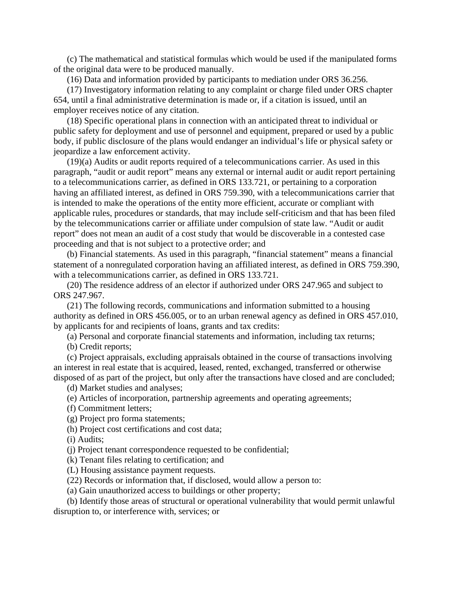(c) The mathematical and statistical formulas which would be used if the manipulated forms of the original data were to be produced manually.

(16) Data and information provided by participants to mediation under ORS 36.256.

 (17) Investigatory information relating to any complaint or charge filed under ORS chapter 654, until a final administrative determination is made or, if a citation is issued, until an employer receives notice of any citation.

 (18) Specific operational plans in connection with an anticipated threat to individual or public safety for deployment and use of personnel and equipment, prepared or used by a public body, if public disclosure of the plans would endanger an individual's life or physical safety or jeopardize a law enforcement activity.

 (19)(a) Audits or audit reports required of a telecommunications carrier. As used in this paragraph, "audit or audit report" means any external or internal audit or audit report pertaining to a telecommunications carrier, as defined in ORS 133.721, or pertaining to a corporation having an affiliated interest, as defined in ORS 759.390, with a telecommunications carrier that is intended to make the operations of the entity more efficient, accurate or compliant with applicable rules, procedures or standards, that may include self-criticism and that has been filed by the telecommunications carrier or affiliate under compulsion of state law. "Audit or audit report" does not mean an audit of a cost study that would be discoverable in a contested case proceeding and that is not subject to a protective order; and

 (b) Financial statements. As used in this paragraph, "financial statement" means a financial statement of a nonregulated corporation having an affiliated interest, as defined in ORS 759.390, with a telecommunications carrier, as defined in ORS 133.721.

 (20) The residence address of an elector if authorized under ORS 247.965 and subject to ORS 247.967.

 (21) The following records, communications and information submitted to a housing authority as defined in ORS 456.005, or to an urban renewal agency as defined in ORS 457.010, by applicants for and recipients of loans, grants and tax credits:

(a) Personal and corporate financial statements and information, including tax returns;

(b) Credit reports;

 (c) Project appraisals, excluding appraisals obtained in the course of transactions involving an interest in real estate that is acquired, leased, rented, exchanged, transferred or otherwise disposed of as part of the project, but only after the transactions have closed and are concluded;

(d) Market studies and analyses;

(e) Articles of incorporation, partnership agreements and operating agreements;

(f) Commitment letters;

(g) Project pro forma statements;

(h) Project cost certifications and cost data;

(i) Audits;

(j) Project tenant correspondence requested to be confidential;

(k) Tenant files relating to certification; and

(L) Housing assistance payment requests.

(22) Records or information that, if disclosed, would allow a person to:

(a) Gain unauthorized access to buildings or other property;

 (b) Identify those areas of structural or operational vulnerability that would permit unlawful disruption to, or interference with, services; or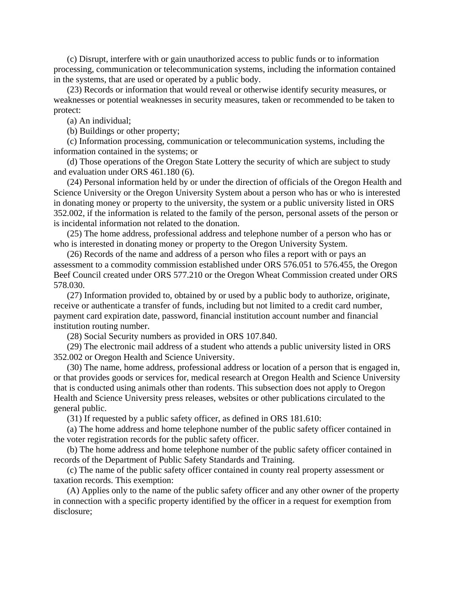(c) Disrupt, interfere with or gain unauthorized access to public funds or to information processing, communication or telecommunication systems, including the information contained in the systems, that are used or operated by a public body.

 (23) Records or information that would reveal or otherwise identify security measures, or weaknesses or potential weaknesses in security measures, taken or recommended to be taken to protect:

(a) An individual;

(b) Buildings or other property;

 (c) Information processing, communication or telecommunication systems, including the information contained in the systems; or

 (d) Those operations of the Oregon State Lottery the security of which are subject to study and evaluation under ORS 461.180 (6).

 (24) Personal information held by or under the direction of officials of the Oregon Health and Science University or the Oregon University System about a person who has or who is interested in donating money or property to the university, the system or a public university listed in ORS 352.002, if the information is related to the family of the person, personal assets of the person or is incidental information not related to the donation.

 (25) The home address, professional address and telephone number of a person who has or who is interested in donating money or property to the Oregon University System.

 (26) Records of the name and address of a person who files a report with or pays an assessment to a commodity commission established under ORS 576.051 to 576.455, the Oregon Beef Council created under ORS 577.210 or the Oregon Wheat Commission created under ORS 578.030.

 (27) Information provided to, obtained by or used by a public body to authorize, originate, receive or authenticate a transfer of funds, including but not limited to a credit card number, payment card expiration date, password, financial institution account number and financial institution routing number.

(28) Social Security numbers as provided in ORS 107.840.

 (29) The electronic mail address of a student who attends a public university listed in ORS 352.002 or Oregon Health and Science University.

 (30) The name, home address, professional address or location of a person that is engaged in, or that provides goods or services for, medical research at Oregon Health and Science University that is conducted using animals other than rodents. This subsection does not apply to Oregon Health and Science University press releases, websites or other publications circulated to the general public.

(31) If requested by a public safety officer, as defined in ORS 181.610:

 (a) The home address and home telephone number of the public safety officer contained in the voter registration records for the public safety officer.

 (b) The home address and home telephone number of the public safety officer contained in records of the Department of Public Safety Standards and Training.

 (c) The name of the public safety officer contained in county real property assessment or taxation records. This exemption:

 (A) Applies only to the name of the public safety officer and any other owner of the property in connection with a specific property identified by the officer in a request for exemption from disclosure;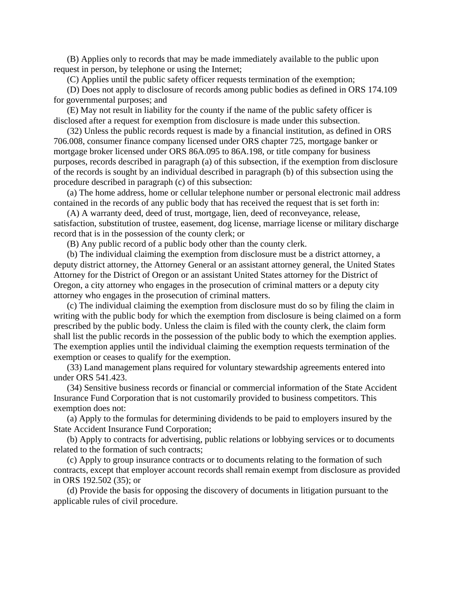(B) Applies only to records that may be made immediately available to the public upon request in person, by telephone or using the Internet;

(C) Applies until the public safety officer requests termination of the exemption;

 (D) Does not apply to disclosure of records among public bodies as defined in ORS 174.109 for governmental purposes; and

 (E) May not result in liability for the county if the name of the public safety officer is disclosed after a request for exemption from disclosure is made under this subsection.

 (32) Unless the public records request is made by a financial institution, as defined in ORS 706.008, consumer finance company licensed under ORS chapter 725, mortgage banker or mortgage broker licensed under ORS 86A.095 to 86A.198, or title company for business purposes, records described in paragraph (a) of this subsection, if the exemption from disclosure of the records is sought by an individual described in paragraph (b) of this subsection using the procedure described in paragraph (c) of this subsection:

 (a) The home address, home or cellular telephone number or personal electronic mail address contained in the records of any public body that has received the request that is set forth in:

 (A) A warranty deed, deed of trust, mortgage, lien, deed of reconveyance, release, satisfaction, substitution of trustee, easement, dog license, marriage license or military discharge record that is in the possession of the county clerk; or

(B) Any public record of a public body other than the county clerk.

 (b) The individual claiming the exemption from disclosure must be a district attorney, a deputy district attorney, the Attorney General or an assistant attorney general, the United States Attorney for the District of Oregon or an assistant United States attorney for the District of Oregon, a city attorney who engages in the prosecution of criminal matters or a deputy city attorney who engages in the prosecution of criminal matters.

 (c) The individual claiming the exemption from disclosure must do so by filing the claim in writing with the public body for which the exemption from disclosure is being claimed on a form prescribed by the public body. Unless the claim is filed with the county clerk, the claim form shall list the public records in the possession of the public body to which the exemption applies. The exemption applies until the individual claiming the exemption requests termination of the exemption or ceases to qualify for the exemption.

 (33) Land management plans required for voluntary stewardship agreements entered into under ORS 541.423.

 (34) Sensitive business records or financial or commercial information of the State Accident Insurance Fund Corporation that is not customarily provided to business competitors. This exemption does not:

 (a) Apply to the formulas for determining dividends to be paid to employers insured by the State Accident Insurance Fund Corporation;

 (b) Apply to contracts for advertising, public relations or lobbying services or to documents related to the formation of such contracts;

 (c) Apply to group insurance contracts or to documents relating to the formation of such contracts, except that employer account records shall remain exempt from disclosure as provided in ORS 192.502 (35); or

 (d) Provide the basis for opposing the discovery of documents in litigation pursuant to the applicable rules of civil procedure.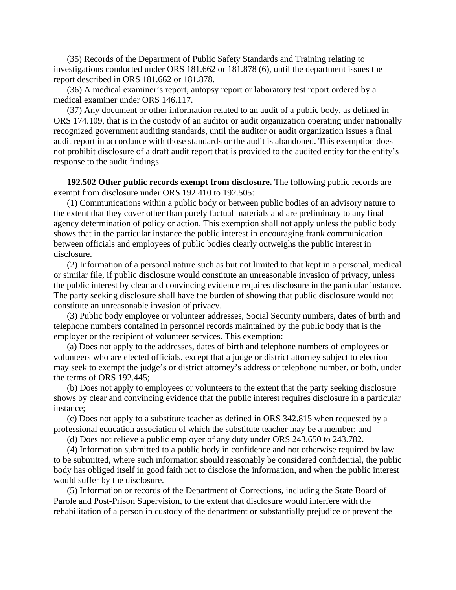(35) Records of the Department of Public Safety Standards and Training relating to investigations conducted under ORS 181.662 or 181.878 (6), until the department issues the report described in ORS 181.662 or 181.878.

 (36) A medical examiner's report, autopsy report or laboratory test report ordered by a medical examiner under ORS 146.117.

 (37) Any document or other information related to an audit of a public body, as defined in ORS 174.109, that is in the custody of an auditor or audit organization operating under nationally recognized government auditing standards, until the auditor or audit organization issues a final audit report in accordance with those standards or the audit is abandoned. This exemption does not prohibit disclosure of a draft audit report that is provided to the audited entity for the entity's response to the audit findings.

 **192.502 Other public records exempt from disclosure.** The following public records are exempt from disclosure under ORS 192.410 to 192.505:

 (1) Communications within a public body or between public bodies of an advisory nature to the extent that they cover other than purely factual materials and are preliminary to any final agency determination of policy or action. This exemption shall not apply unless the public body shows that in the particular instance the public interest in encouraging frank communication between officials and employees of public bodies clearly outweighs the public interest in disclosure.

 (2) Information of a personal nature such as but not limited to that kept in a personal, medical or similar file, if public disclosure would constitute an unreasonable invasion of privacy, unless the public interest by clear and convincing evidence requires disclosure in the particular instance. The party seeking disclosure shall have the burden of showing that public disclosure would not constitute an unreasonable invasion of privacy.

 (3) Public body employee or volunteer addresses, Social Security numbers, dates of birth and telephone numbers contained in personnel records maintained by the public body that is the employer or the recipient of volunteer services. This exemption:

 (a) Does not apply to the addresses, dates of birth and telephone numbers of employees or volunteers who are elected officials, except that a judge or district attorney subject to election may seek to exempt the judge's or district attorney's address or telephone number, or both, under the terms of ORS 192.445;

 (b) Does not apply to employees or volunteers to the extent that the party seeking disclosure shows by clear and convincing evidence that the public interest requires disclosure in a particular instance;

 (c) Does not apply to a substitute teacher as defined in ORS 342.815 when requested by a professional education association of which the substitute teacher may be a member; and

(d) Does not relieve a public employer of any duty under ORS 243.650 to 243.782.

 (4) Information submitted to a public body in confidence and not otherwise required by law to be submitted, where such information should reasonably be considered confidential, the public body has obliged itself in good faith not to disclose the information, and when the public interest would suffer by the disclosure.

 (5) Information or records of the Department of Corrections, including the State Board of Parole and Post-Prison Supervision, to the extent that disclosure would interfere with the rehabilitation of a person in custody of the department or substantially prejudice or prevent the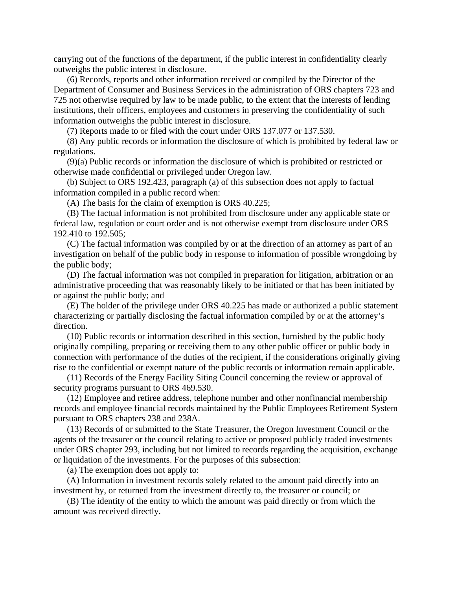carrying out of the functions of the department, if the public interest in confidentiality clearly outweighs the public interest in disclosure.

 (6) Records, reports and other information received or compiled by the Director of the Department of Consumer and Business Services in the administration of ORS chapters 723 and 725 not otherwise required by law to be made public, to the extent that the interests of lending institutions, their officers, employees and customers in preserving the confidentiality of such information outweighs the public interest in disclosure.

(7) Reports made to or filed with the court under ORS 137.077 or 137.530.

 (8) Any public records or information the disclosure of which is prohibited by federal law or regulations.

 (9)(a) Public records or information the disclosure of which is prohibited or restricted or otherwise made confidential or privileged under Oregon law.

 (b) Subject to ORS 192.423, paragraph (a) of this subsection does not apply to factual information compiled in a public record when:

(A) The basis for the claim of exemption is ORS 40.225;

 (B) The factual information is not prohibited from disclosure under any applicable state or federal law, regulation or court order and is not otherwise exempt from disclosure under ORS 192.410 to 192.505;

 (C) The factual information was compiled by or at the direction of an attorney as part of an investigation on behalf of the public body in response to information of possible wrongdoing by the public body;

 (D) The factual information was not compiled in preparation for litigation, arbitration or an administrative proceeding that was reasonably likely to be initiated or that has been initiated by or against the public body; and

 (E) The holder of the privilege under ORS 40.225 has made or authorized a public statement characterizing or partially disclosing the factual information compiled by or at the attorney's direction.

 (10) Public records or information described in this section, furnished by the public body originally compiling, preparing or receiving them to any other public officer or public body in connection with performance of the duties of the recipient, if the considerations originally giving rise to the confidential or exempt nature of the public records or information remain applicable.

 (11) Records of the Energy Facility Siting Council concerning the review or approval of security programs pursuant to ORS 469.530.

 (12) Employee and retiree address, telephone number and other nonfinancial membership records and employee financial records maintained by the Public Employees Retirement System pursuant to ORS chapters 238 and 238A.

 (13) Records of or submitted to the State Treasurer, the Oregon Investment Council or the agents of the treasurer or the council relating to active or proposed publicly traded investments under ORS chapter 293, including but not limited to records regarding the acquisition, exchange or liquidation of the investments. For the purposes of this subsection:

(a) The exemption does not apply to:

 (A) Information in investment records solely related to the amount paid directly into an investment by, or returned from the investment directly to, the treasurer or council; or

 (B) The identity of the entity to which the amount was paid directly or from which the amount was received directly.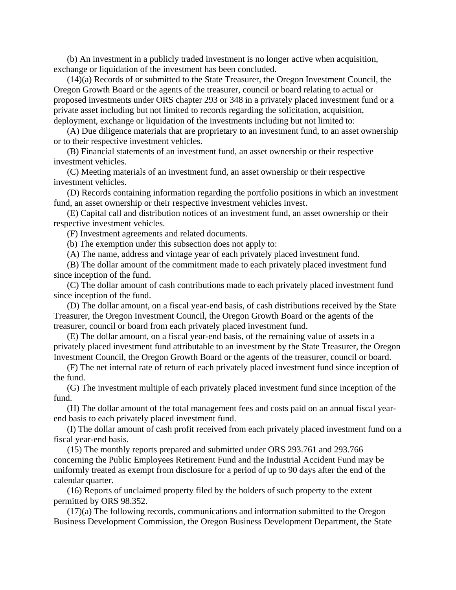(b) An investment in a publicly traded investment is no longer active when acquisition, exchange or liquidation of the investment has been concluded.

 (14)(a) Records of or submitted to the State Treasurer, the Oregon Investment Council, the Oregon Growth Board or the agents of the treasurer, council or board relating to actual or proposed investments under ORS chapter 293 or 348 in a privately placed investment fund or a private asset including but not limited to records regarding the solicitation, acquisition, deployment, exchange or liquidation of the investments including but not limited to:

 (A) Due diligence materials that are proprietary to an investment fund, to an asset ownership or to their respective investment vehicles.

 (B) Financial statements of an investment fund, an asset ownership or their respective investment vehicles.

 (C) Meeting materials of an investment fund, an asset ownership or their respective investment vehicles.

 (D) Records containing information regarding the portfolio positions in which an investment fund, an asset ownership or their respective investment vehicles invest.

 (E) Capital call and distribution notices of an investment fund, an asset ownership or their respective investment vehicles.

(F) Investment agreements and related documents.

(b) The exemption under this subsection does not apply to:

(A) The name, address and vintage year of each privately placed investment fund.

 (B) The dollar amount of the commitment made to each privately placed investment fund since inception of the fund.

 (C) The dollar amount of cash contributions made to each privately placed investment fund since inception of the fund.

 (D) The dollar amount, on a fiscal year-end basis, of cash distributions received by the State Treasurer, the Oregon Investment Council, the Oregon Growth Board or the agents of the treasurer, council or board from each privately placed investment fund.

 (E) The dollar amount, on a fiscal year-end basis, of the remaining value of assets in a privately placed investment fund attributable to an investment by the State Treasurer, the Oregon Investment Council, the Oregon Growth Board or the agents of the treasurer, council or board.

 (F) The net internal rate of return of each privately placed investment fund since inception of the fund.

 (G) The investment multiple of each privately placed investment fund since inception of the fund.

 (H) The dollar amount of the total management fees and costs paid on an annual fiscal yearend basis to each privately placed investment fund.

 (I) The dollar amount of cash profit received from each privately placed investment fund on a fiscal year-end basis.

 (15) The monthly reports prepared and submitted under ORS 293.761 and 293.766 concerning the Public Employees Retirement Fund and the Industrial Accident Fund may be uniformly treated as exempt from disclosure for a period of up to 90 days after the end of the calendar quarter.

 (16) Reports of unclaimed property filed by the holders of such property to the extent permitted by ORS 98.352.

 (17)(a) The following records, communications and information submitted to the Oregon Business Development Commission, the Oregon Business Development Department, the State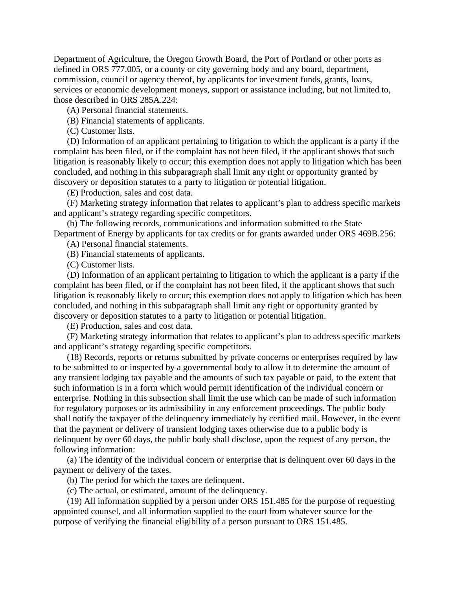Department of Agriculture, the Oregon Growth Board, the Port of Portland or other ports as defined in ORS 777.005, or a county or city governing body and any board, department, commission, council or agency thereof, by applicants for investment funds, grants, loans, services or economic development moneys, support or assistance including, but not limited to, those described in ORS 285A.224:

(A) Personal financial statements.

(B) Financial statements of applicants.

(C) Customer lists.

 (D) Information of an applicant pertaining to litigation to which the applicant is a party if the complaint has been filed, or if the complaint has not been filed, if the applicant shows that such litigation is reasonably likely to occur; this exemption does not apply to litigation which has been concluded, and nothing in this subparagraph shall limit any right or opportunity granted by discovery or deposition statutes to a party to litigation or potential litigation.

(E) Production, sales and cost data.

 (F) Marketing strategy information that relates to applicant's plan to address specific markets and applicant's strategy regarding specific competitors.

 (b) The following records, communications and information submitted to the State Department of Energy by applicants for tax credits or for grants awarded under ORS 469B.256:

(A) Personal financial statements.

(B) Financial statements of applicants.

(C) Customer lists.

 (D) Information of an applicant pertaining to litigation to which the applicant is a party if the complaint has been filed, or if the complaint has not been filed, if the applicant shows that such litigation is reasonably likely to occur; this exemption does not apply to litigation which has been concluded, and nothing in this subparagraph shall limit any right or opportunity granted by discovery or deposition statutes to a party to litigation or potential litigation.

(E) Production, sales and cost data.

 (F) Marketing strategy information that relates to applicant's plan to address specific markets and applicant's strategy regarding specific competitors.

 (18) Records, reports or returns submitted by private concerns or enterprises required by law to be submitted to or inspected by a governmental body to allow it to determine the amount of any transient lodging tax payable and the amounts of such tax payable or paid, to the extent that such information is in a form which would permit identification of the individual concern or enterprise. Nothing in this subsection shall limit the use which can be made of such information for regulatory purposes or its admissibility in any enforcement proceedings. The public body shall notify the taxpayer of the delinquency immediately by certified mail. However, in the event that the payment or delivery of transient lodging taxes otherwise due to a public body is delinquent by over 60 days, the public body shall disclose, upon the request of any person, the following information:

 (a) The identity of the individual concern or enterprise that is delinquent over 60 days in the payment or delivery of the taxes.

(b) The period for which the taxes are delinquent.

(c) The actual, or estimated, amount of the delinquency.

 (19) All information supplied by a person under ORS 151.485 for the purpose of requesting appointed counsel, and all information supplied to the court from whatever source for the purpose of verifying the financial eligibility of a person pursuant to ORS 151.485.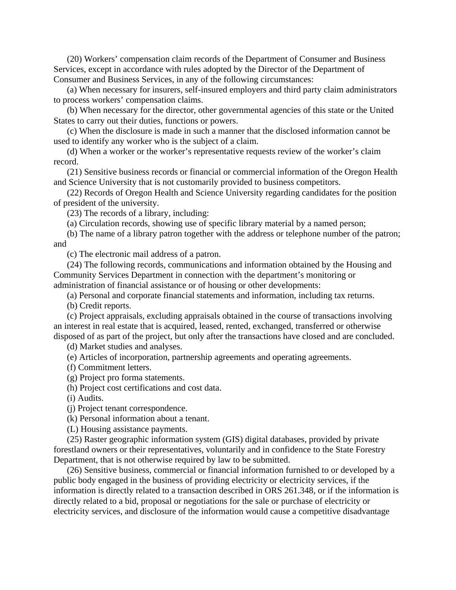(20) Workers' compensation claim records of the Department of Consumer and Business Services, except in accordance with rules adopted by the Director of the Department of Consumer and Business Services, in any of the following circumstances:

 (a) When necessary for insurers, self-insured employers and third party claim administrators to process workers' compensation claims.

 (b) When necessary for the director, other governmental agencies of this state or the United States to carry out their duties, functions or powers.

 (c) When the disclosure is made in such a manner that the disclosed information cannot be used to identify any worker who is the subject of a claim.

 (d) When a worker or the worker's representative requests review of the worker's claim record.

 (21) Sensitive business records or financial or commercial information of the Oregon Health and Science University that is not customarily provided to business competitors.

 (22) Records of Oregon Health and Science University regarding candidates for the position of president of the university.

(23) The records of a library, including:

(a) Circulation records, showing use of specific library material by a named person;

 (b) The name of a library patron together with the address or telephone number of the patron; and

(c) The electronic mail address of a patron.

 (24) The following records, communications and information obtained by the Housing and Community Services Department in connection with the department's monitoring or administration of financial assistance or of housing or other developments:

(a) Personal and corporate financial statements and information, including tax returns.

(b) Credit reports.

 (c) Project appraisals, excluding appraisals obtained in the course of transactions involving an interest in real estate that is acquired, leased, rented, exchanged, transferred or otherwise disposed of as part of the project, but only after the transactions have closed and are concluded.

(d) Market studies and analyses.

(e) Articles of incorporation, partnership agreements and operating agreements.

(f) Commitment letters.

(g) Project pro forma statements.

(h) Project cost certifications and cost data.

(i) Audits.

(j) Project tenant correspondence.

(k) Personal information about a tenant.

(L) Housing assistance payments.

 (25) Raster geographic information system (GIS) digital databases, provided by private forestland owners or their representatives, voluntarily and in confidence to the State Forestry Department, that is not otherwise required by law to be submitted.

 (26) Sensitive business, commercial or financial information furnished to or developed by a public body engaged in the business of providing electricity or electricity services, if the information is directly related to a transaction described in ORS 261.348, or if the information is directly related to a bid, proposal or negotiations for the sale or purchase of electricity or electricity services, and disclosure of the information would cause a competitive disadvantage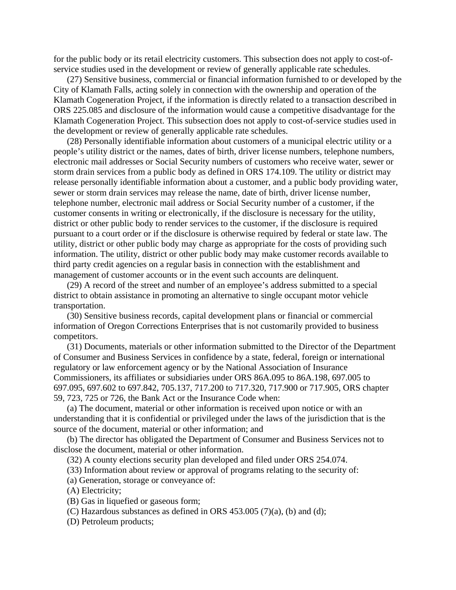for the public body or its retail electricity customers. This subsection does not apply to cost-ofservice studies used in the development or review of generally applicable rate schedules.

 (27) Sensitive business, commercial or financial information furnished to or developed by the City of Klamath Falls, acting solely in connection with the ownership and operation of the Klamath Cogeneration Project, if the information is directly related to a transaction described in ORS 225.085 and disclosure of the information would cause a competitive disadvantage for the Klamath Cogeneration Project. This subsection does not apply to cost-of-service studies used in the development or review of generally applicable rate schedules.

 (28) Personally identifiable information about customers of a municipal electric utility or a people's utility district or the names, dates of birth, driver license numbers, telephone numbers, electronic mail addresses or Social Security numbers of customers who receive water, sewer or storm drain services from a public body as defined in ORS 174.109. The utility or district may release personally identifiable information about a customer, and a public body providing water, sewer or storm drain services may release the name, date of birth, driver license number, telephone number, electronic mail address or Social Security number of a customer, if the customer consents in writing or electronically, if the disclosure is necessary for the utility, district or other public body to render services to the customer, if the disclosure is required pursuant to a court order or if the disclosure is otherwise required by federal or state law. The utility, district or other public body may charge as appropriate for the costs of providing such information. The utility, district or other public body may make customer records available to third party credit agencies on a regular basis in connection with the establishment and management of customer accounts or in the event such accounts are delinquent.

 (29) A record of the street and number of an employee's address submitted to a special district to obtain assistance in promoting an alternative to single occupant motor vehicle transportation.

 (30) Sensitive business records, capital development plans or financial or commercial information of Oregon Corrections Enterprises that is not customarily provided to business competitors.

 (31) Documents, materials or other information submitted to the Director of the Department of Consumer and Business Services in confidence by a state, federal, foreign or international regulatory or law enforcement agency or by the National Association of Insurance Commissioners, its affiliates or subsidiaries under ORS 86A.095 to 86A.198, 697.005 to 697.095, 697.602 to 697.842, 705.137, 717.200 to 717.320, 717.900 or 717.905, ORS chapter 59, 723, 725 or 726, the Bank Act or the Insurance Code when:

 (a) The document, material or other information is received upon notice or with an understanding that it is confidential or privileged under the laws of the jurisdiction that is the source of the document, material or other information; and

 (b) The director has obligated the Department of Consumer and Business Services not to disclose the document, material or other information.

(32) A county elections security plan developed and filed under ORS 254.074.

(33) Information about review or approval of programs relating to the security of:

(a) Generation, storage or conveyance of:

(A) Electricity;

(B) Gas in liquefied or gaseous form;

(C) Hazardous substances as defined in ORS 453.005  $(7)(a)$ , (b) and (d);

(D) Petroleum products;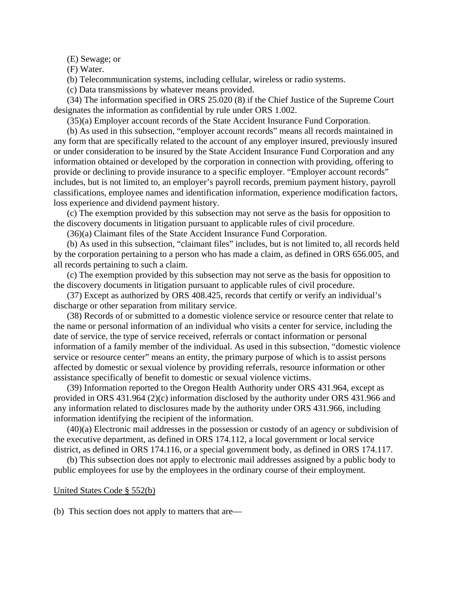(E) Sewage; or

(F) Water.

(b) Telecommunication systems, including cellular, wireless or radio systems.

(c) Data transmissions by whatever means provided.

 (34) The information specified in ORS 25.020 (8) if the Chief Justice of the Supreme Court designates the information as confidential by rule under ORS 1.002.

(35)(a) Employer account records of the State Accident Insurance Fund Corporation.

 (b) As used in this subsection, "employer account records" means all records maintained in any form that are specifically related to the account of any employer insured, previously insured or under consideration to be insured by the State Accident Insurance Fund Corporation and any information obtained or developed by the corporation in connection with providing, offering to provide or declining to provide insurance to a specific employer. "Employer account records" includes, but is not limited to, an employer's payroll records, premium payment history, payroll classifications, employee names and identification information, experience modification factors, loss experience and dividend payment history.

 (c) The exemption provided by this subsection may not serve as the basis for opposition to the discovery documents in litigation pursuant to applicable rules of civil procedure.

(36)(a) Claimant files of the State Accident Insurance Fund Corporation.

 (b) As used in this subsection, "claimant files" includes, but is not limited to, all records held by the corporation pertaining to a person who has made a claim, as defined in ORS 656.005, and all records pertaining to such a claim.

 (c) The exemption provided by this subsection may not serve as the basis for opposition to the discovery documents in litigation pursuant to applicable rules of civil procedure.

 (37) Except as authorized by ORS 408.425, records that certify or verify an individual's discharge or other separation from military service.

 (38) Records of or submitted to a domestic violence service or resource center that relate to the name or personal information of an individual who visits a center for service, including the date of service, the type of service received, referrals or contact information or personal information of a family member of the individual. As used in this subsection, "domestic violence service or resource center" means an entity, the primary purpose of which is to assist persons affected by domestic or sexual violence by providing referrals, resource information or other assistance specifically of benefit to domestic or sexual violence victims.

 (39) Information reported to the Oregon Health Authority under ORS 431.964, except as provided in ORS 431.964 (2)(c) information disclosed by the authority under ORS 431.966 and any information related to disclosures made by the authority under ORS 431.966, including information identifying the recipient of the information.

 (40)(a) Electronic mail addresses in the possession or custody of an agency or subdivision of the executive department, as defined in ORS 174.112, a local government or local service district, as defined in ORS 174.116, or a special government body, as defined in ORS 174.117.

 (b) This subsection does not apply to electronic mail addresses assigned by a public body to public employees for use by the employees in the ordinary course of their employment.

#### United States Code § 552(b)

(b) This section does not apply to matters that are—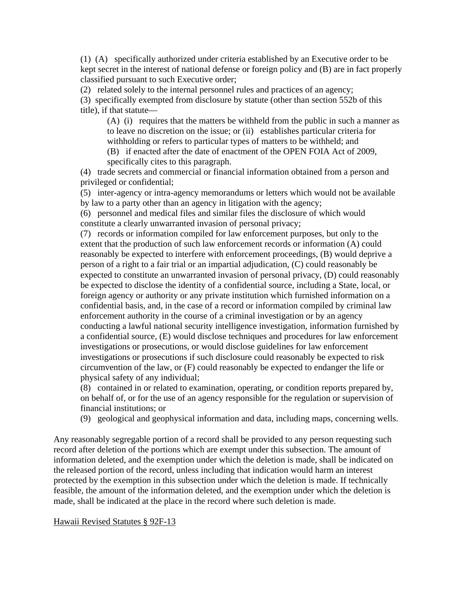(1) (A) specifically authorized under criteria established by an Executive order to be kept secret in the interest of national defense or foreign policy and (B) are in fact properly classified pursuant to such Executive order;

(2) related solely to the internal personnel rules and practices of an agency;

(3) specifically exempted from disclosure by statute (other than section 552b of this title), if that statute—

(A) (i) requires that the matters be withheld from the public in such a manner as to leave no discretion on the issue; or (ii) establishes particular criteria for withholding or refers to particular types of matters to be withheld; and

(B) if enacted after the date of enactment of the OPEN FOIA Act of 2009, specifically cites to this paragraph.

(4) trade secrets and commercial or financial information obtained from a person and privileged or confidential;

(5) inter-agency or intra-agency memorandums or letters which would not be available by law to a party other than an agency in litigation with the agency;

(6) personnel and medical files and similar files the disclosure of which would constitute a clearly unwarranted invasion of personal privacy;

(7) records or information compiled for law enforcement purposes, but only to the extent that the production of such law enforcement records or information (A) could reasonably be expected to interfere with enforcement proceedings, (B) would deprive a person of a right to a fair trial or an impartial adjudication, (C) could reasonably be expected to constitute an unwarranted invasion of personal privacy, (D) could reasonably be expected to disclose the identity of a confidential source, including a State, local, or foreign agency or authority or any private institution which furnished information on a confidential basis, and, in the case of a record or information compiled by criminal law enforcement authority in the course of a criminal investigation or by an agency conducting a lawful national security intelligence investigation, information furnished by a confidential source, (E) would disclose techniques and procedures for law enforcement investigations or prosecutions, or would disclose guidelines for law enforcement investigations or prosecutions if such disclosure could reasonably be expected to risk circumvention of the law, or (F) could reasonably be expected to endanger the life or physical safety of any individual;

(8) contained in or related to examination, operating, or condition reports prepared by, on behalf of, or for the use of an agency responsible for the regulation or supervision of financial institutions; or

(9) geological and geophysical information and data, including maps, concerning wells.

Any reasonably segregable portion of a record shall be provided to any person requesting such record after deletion of the portions which are exempt under this subsection. The amount of information deleted, and the exemption under which the deletion is made, shall be indicated on the released portion of the record, unless including that indication would harm an interest protected by the exemption in this subsection under which the deletion is made. If technically feasible, the amount of the information deleted, and the exemption under which the deletion is made, shall be indicated at the place in the record where such deletion is made.

Hawaii Revised Statutes § 92F-13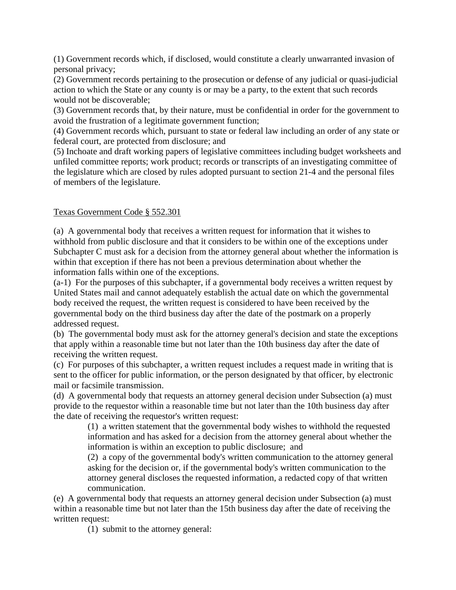(1) Government records which, if disclosed, would constitute a clearly unwarranted invasion of personal privacy;

(2) Government records pertaining to the prosecution or defense of any judicial or quasi-judicial action to which the State or any county is or may be a party, to the extent that such records would not be discoverable;

(3) Government records that, by their nature, must be confidential in order for the government to avoid the frustration of a legitimate government function;

(4) Government records which, pursuant to state or federal law including an order of any state or federal court, are protected from disclosure; and

(5) Inchoate and draft working papers of legislative committees including budget worksheets and unfiled committee reports; work product; records or transcripts of an investigating committee of the legislature which are closed by rules adopted pursuant to section 21-4 and the personal files of members of the legislature.

# Texas Government Code § 552.301

(a) A governmental body that receives a written request for information that it wishes to withhold from public disclosure and that it considers to be within one of the exceptions under Subchapter C must ask for a decision from the attorney general about whether the information is within that exception if there has not been a previous determination about whether the information falls within one of the exceptions.

(a-1) For the purposes of this subchapter, if a governmental body receives a written request by United States mail and cannot adequately establish the actual date on which the governmental body received the request, the written request is considered to have been received by the governmental body on the third business day after the date of the postmark on a properly addressed request.

(b) The governmental body must ask for the attorney general's decision and state the exceptions that apply within a reasonable time but not later than the 10th business day after the date of receiving the written request.

(c) For purposes of this subchapter, a written request includes a request made in writing that is sent to the officer for public information, or the person designated by that officer, by electronic mail or facsimile transmission.

(d) A governmental body that requests an attorney general decision under Subsection (a) must provide to the requestor within a reasonable time but not later than the 10th business day after the date of receiving the requestor's written request:

(1) a written statement that the governmental body wishes to withhold the requested information and has asked for a decision from the attorney general about whether the information is within an exception to public disclosure; and

(2) a copy of the governmental body's written communication to the attorney general asking for the decision or, if the governmental body's written communication to the attorney general discloses the requested information, a redacted copy of that written communication.

(e) A governmental body that requests an attorney general decision under Subsection (a) must within a reasonable time but not later than the 15th business day after the date of receiving the written request:

(1) submit to the attorney general: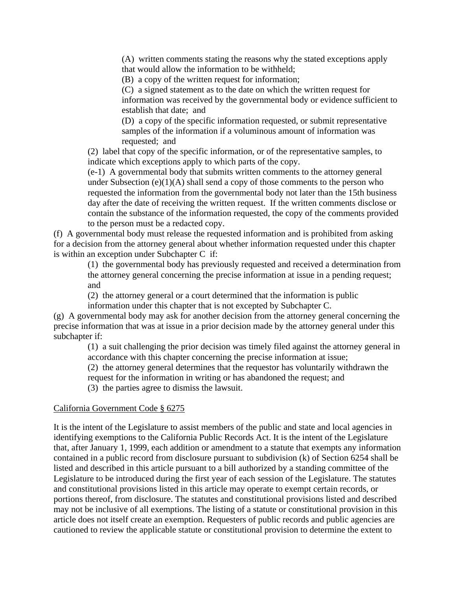(A) written comments stating the reasons why the stated exceptions apply that would allow the information to be withheld;

(B) a copy of the written request for information;

(C) a signed statement as to the date on which the written request for information was received by the governmental body or evidence sufficient to establish that date; and

(D) a copy of the specific information requested, or submit representative samples of the information if a voluminous amount of information was requested; and

(2) label that copy of the specific information, or of the representative samples, to indicate which exceptions apply to which parts of the copy.

(e-1) A governmental body that submits written comments to the attorney general under Subsection  $(e)(1)(A)$  shall send a copy of those comments to the person who requested the information from the governmental body not later than the 15th business day after the date of receiving the written request. If the written comments disclose or contain the substance of the information requested, the copy of the comments provided to the person must be a redacted copy.

(f) A governmental body must release the requested information and is prohibited from asking for a decision from the attorney general about whether information requested under this chapter is within an exception under Subchapter C if:

> (1) the governmental body has previously requested and received a determination from the attorney general concerning the precise information at issue in a pending request; and

(2) the attorney general or a court determined that the information is public

information under this chapter that is not excepted by Subchapter C.

(g) A governmental body may ask for another decision from the attorney general concerning the precise information that was at issue in a prior decision made by the attorney general under this subchapter if:

(1) a suit challenging the prior decision was timely filed against the attorney general in accordance with this chapter concerning the precise information at issue;

(2) the attorney general determines that the requestor has voluntarily withdrawn the

request for the information in writing or has abandoned the request; and

(3) the parties agree to dismiss the lawsuit.

## California Government Code § 6275

It is the intent of the Legislature to assist members of the public and state and local agencies in identifying exemptions to the California Public Records Act. It is the intent of the Legislature that, after January 1, 1999, each addition or amendment to a statute that exempts any information contained in a public record from disclosure pursuant to subdivision (k) of Section 6254 shall be listed and described in this article pursuant to a bill authorized by a standing committee of the Legislature to be introduced during the first year of each session of the Legislature. The statutes and constitutional provisions listed in this article may operate to exempt certain records, or portions thereof, from disclosure. The statutes and constitutional provisions listed and described may not be inclusive of all exemptions. The listing of a statute or constitutional provision in this article does not itself create an exemption. Requesters of public records and public agencies are cautioned to review the applicable statute or constitutional provision to determine the extent to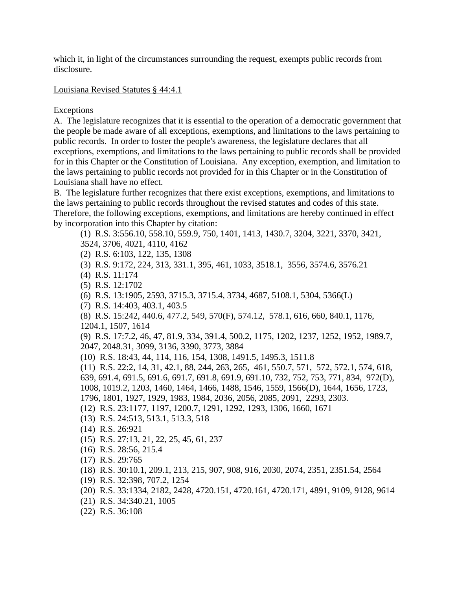which it, in light of the circumstances surrounding the request, exempts public records from disclosure.

# Louisiana Revised Statutes § 44:4.1

Exceptions

A. The legislature recognizes that it is essential to the operation of a democratic government that the people be made aware of all exceptions, exemptions, and limitations to the laws pertaining to public records. In order to foster the people's awareness, the legislature declares that all exceptions, exemptions, and limitations to the laws pertaining to public records shall be provided for in this Chapter or the Constitution of Louisiana. Any exception, exemption, and limitation to the laws pertaining to public records not provided for in this Chapter or in the Constitution of Louisiana shall have no effect.

B. The legislature further recognizes that there exist exceptions, exemptions, and limitations to the laws pertaining to public records throughout the revised statutes and codes of this state. Therefore, the following exceptions, exemptions, and limitations are hereby continued in effect by incorporation into this Chapter by citation:

(1) R.S. 3:556.10, 558.10, 559.9, 750, 1401, 1413, 1430.7, 3204, 3221, 3370, 3421,

- 3524, 3706, 4021, 4110, 4162
- (2) R.S. 6:103, 122, 135, 1308
- (3) R.S. 9:172, 224, 313, 331.1, 395, 461, 1033, 3518.1, 3556, 3574.6, 3576.21
- (4) R.S. 11:174
- (5) R.S. 12:1702
- (6) R.S. 13:1905, 2593, 3715.3, 3715.4, 3734, 4687, 5108.1, 5304, 5366(L)
- (7) R.S. 14:403, 403.1, 403.5

(8) R.S. 15:242, 440.6, 477.2, 549, 570(F), 574.12, 578.1, 616, 660, 840.1, 1176, 1204.1, 1507, 1614

(9) R.S. 17:7.2, 46, 47, 81.9, 334, 391.4, 500.2, 1175, 1202, 1237, 1252, 1952, 1989.7, 2047, 2048.31, 3099, 3136, 3390, 3773, 3884

- (10) R.S. 18:43, 44, 114, 116, 154, 1308, 1491.5, 1495.3, 1511.8
- (11) R.S. 22:2, 14, 31, 42.1, 88, 244, 263, 265, 461, 550.7, 571, 572, 572.1, 574, 618, 639, 691.4, 691.5, 691.6, 691.7, 691.8, 691.9, 691.10, 732, 752, 753, 771, 834, 972(D), 1008, 1019.2, 1203, 1460, 1464, 1466, 1488, 1546, 1559, 1566(D), 1644, 1656, 1723, 1796, 1801, 1927, 1929, 1983, 1984, 2036, 2056, 2085, 2091, 2293, 2303.
- (12) R.S. 23:1177, 1197, 1200.7, 1291, 1292, 1293, 1306, 1660, 1671
- (13) R.S. 24:513, 513.1, 513.3, 518
- (14) R.S. 26:921
- (15) R.S. 27:13, 21, 22, 25, 45, 61, 237
- (16) R.S. 28:56, 215.4
- (17) R.S. 29:765
- (18) R.S. 30:10.1, 209.1, 213, 215, 907, 908, 916, 2030, 2074, 2351, 2351.54, 2564
- (19) R.S. 32:398, 707.2, 1254
- (20) R.S. 33:1334, 2182, 2428, 4720.151, 4720.161, 4720.171, 4891, 9109, 9128, 9614
- (21) R.S. 34:340.21, 1005
- (22) R.S. 36:108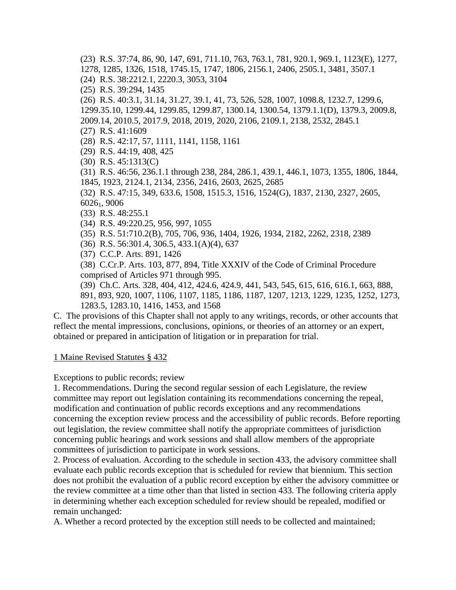(23) R.S. 37:74, 86, 90, 147, 691, 711.10, 763, 763.1, 781, 920.1, 969.1, 1123(E), 1277, 1278, 1285, 1326, 1518, 1745.15, 1747, 1806, 2156.1, 2406, 2505.1, 3481, 3507.1 (24) R.S. 38:2212.1, 2220.3, 3053, 3104 (25) R.S. 39:294, 1435 (26) R.S. 40:3.1, 31.14, 31.27, 39.1, 41, 73, 526, 528, 1007, 1098.8, 1232.7, 1299.6, 1299.35.10, 1299.44, 1299.85, 1299.87, 1300.14, 1300.54, 1379.1.1(D), 1379.3, 2009.8, 2009.14, 2010.5, 2017.9, 2018, 2019, 2020, 2106, 2109.1, 2138, 2532, 2845.1 (27) R.S. 41:1609 (28) R.S. 42:17, 57, 1111, 1141, 1158, 1161 (29) R.S. 44:19, 408, 425 (30) R.S. 45:1313(C) (31) R.S. 46:56, 236.1.1 through 238, 284, 286.1, 439.1, 446.1, 1073, 1355, 1806, 1844, 1845, 1923, 2124.1, 2134, 2356, 2416, 2603, 2625, 2685 (32) R.S. 47:15, 349, 633.6, 1508, 1515.3, 1516, 1524(G), 1837, 2130, 2327, 2605, 60261, 9006 (33) R.S. 48:255.1 (34) R.S. 49:220.25, 956, 997, 1055 (35) R.S. 51:710.2(B), 705, 706, 936, 1404, 1926, 1934, 2182, 2262, 2318, 2389 (36) R.S. 56:301.4, 306.5, 433.1(A)(4), 637 (37) C.C.P. Arts. 891, 1426 (38) C.Cr.P. Arts. 103, 877, 894, Title XXXIV of the Code of Criminal Procedure comprised of Articles 971 through 995. (39) Ch.C. Arts. 328, 404, 412, 424.6, 424.9, 441, 543, 545, 615, 616, 616.1, 663, 888, 891, 893, 920, 1007, 1106, 1107, 1185, 1186, 1187, 1207, 1213, 1229, 1235, 1252, 1273,

1283.5, 1283.10, 1416, 1453, and 1568

C. The provisions of this Chapter shall not apply to any writings, records, or other accounts that reflect the mental impressions, conclusions, opinions, or theories of an attorney or an expert, obtained or prepared in anticipation of litigation or in preparation for trial.

1 Maine Revised Statutes § 432

Exceptions to public records; review

1. Recommendations. During the second regular session of each Legislature, the review committee may report out legislation containing its recommendations concerning the repeal, modification and continuation of public records exceptions and any recommendations concerning the exception review process and the accessibility of public records. Before reporting out legislation, the review committee shall notify the appropriate committees of jurisdiction concerning public hearings and work sessions and shall allow members of the appropriate committees of jurisdiction to participate in work sessions.

2. Process of evaluation. According to the schedule in section 433, the advisory committee shall evaluate each public records exception that is scheduled for review that biennium. This section does not prohibit the evaluation of a public record exception by either the advisory committee or the review committee at a time other than that listed in section 433. The following criteria apply in determining whether each exception scheduled for review should be repealed, modified or remain unchanged:

A. Whether a record protected by the exception still needs to be collected and maintained;